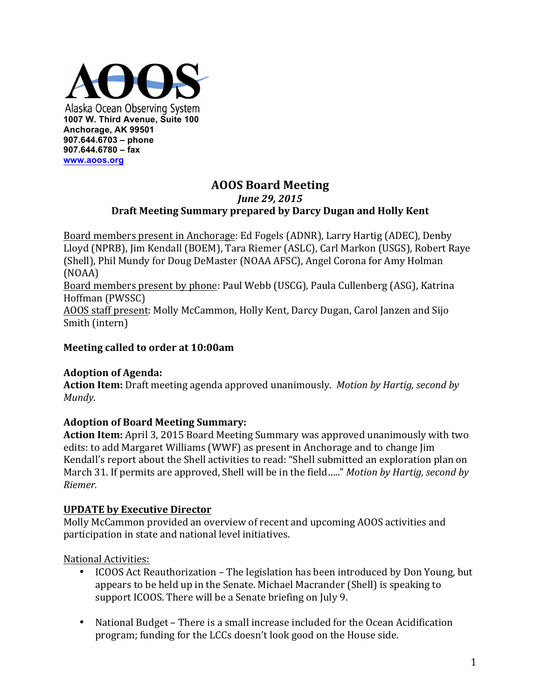

## **AOOS Board Meeting** *June 29, 2015* Draft Meeting Summary prepared by Darcy Dugan and Holly Kent

Board members present in Anchorage: Ed Fogels (ADNR), Larry Hartig (ADEC), Denby Lloyd (NPRB), Jim Kendall (BOEM), Tara Riemer (ASLC), Carl Markon (USGS), Robert Raye (Shell), Phil Mundy for Doug DeMaster (NOAA AFSC), Angel Corona for Amy Holman (NOAA)

Board members present by phone: Paul Webb (USCG), Paula Cullenberg (ASG), Katrina Hoffman (PWSSC)

AOOS staff present: Molly McCammon, Holly Kent, Darcy Dugan, Carol Janzen and Sijo Smith (intern)

## **Meeting called to order at 10:00am**

### **Adoption of Agenda:**

**Action Item:** Draft meeting agenda approved unanimously. *Motion by Hartig, second by Mundy.* 

# **Adoption of Board Meeting Summary:**

**Action Item:** April 3, 2015 Board Meeting Summary was approved unanimously with two edits: to add Margaret Williams (WWF) as present in Anchorage and to change Jim Kendall's report about the Shell activities to read: "Shell submitted an exploration plan on March 31. If permits are approved, Shell will be in the field....." *Motion by Hartig, second by Riemer.*

### **UPDATE by Executive Director**

Molly McCammon provided an overview of recent and upcoming AOOS activities and participation in state and national level initiatives.

National Activities:

- ICOOS Act Reauthorization The legislation has been introduced by Don Young, but appears to be held up in the Senate. Michael Macrander (Shell) is speaking to support ICOOS. There will be a Senate briefing on July 9.
- National Budget There is a small increase included for the Ocean Acidification program; funding for the LCCs doesn't look good on the House side.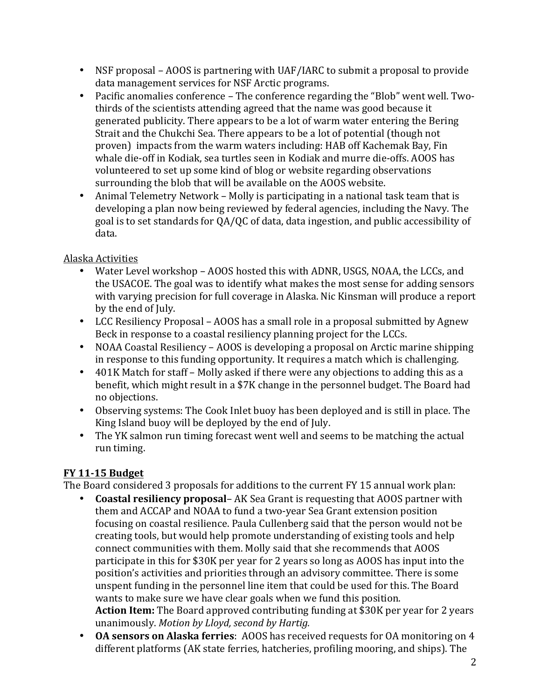- NSF proposal AOOS is partnering with UAF/IARC to submit a proposal to provide data management services for NSF Arctic programs.
- Pacific anomalies conference The conference regarding the "Blob" went well. Twothirds of the scientists attending agreed that the name was good because it generated publicity. There appears to be a lot of warm water entering the Bering Strait and the Chukchi Sea. There appears to be a lot of potential (though not proven) impacts from the warm waters including: HAB off Kachemak Bay, Fin whale die-off in Kodiak, sea turtles seen in Kodiak and murre die-offs. AOOS has volunteered to set up some kind of blog or website regarding observations surrounding the blob that will be available on the AOOS website.
- Animal Telemetry Network Molly is participating in a national task team that is developing a plan now being reviewed by federal agencies, including the Navy. The goal is to set standards for QA/QC of data, data ingestion, and public accessibility of data.

## Alaska Activities

- Water Level workshop AOOS hosted this with ADNR, USGS, NOAA, the LCCs, and the USACOE. The goal was to identify what makes the most sense for adding sensors with varying precision for full coverage in Alaska. Nic Kinsman will produce a report by the end of July.
- LCC Resiliency Proposal AOOS has a small role in a proposal submitted by Agnew Beck in response to a coastal resiliency planning project for the LCCs.
- NOAA Coastal Resiliency AOOS is developing a proposal on Arctic marine shipping in response to this funding opportunity. It requires a match which is challenging.
- 401K Match for staff Molly asked if there were any objections to adding this as a benefit, which might result in a \$7K change in the personnel budget. The Board had no objections.
- Observing systems: The Cook Inlet buoy has been deployed and is still in place. The King Island buoy will be deployed by the end of July.
- The YK salmon run timing forecast went well and seems to be matching the actual run timing.

# **FY 11-15 Budget**

The Board considered 3 proposals for additions to the current FY 15 annual work plan:

- **Coastal resiliency proposal** AK Sea Grant is requesting that AOOS partner with them and ACCAP and NOAA to fund a two-year Sea Grant extension position focusing on coastal resilience. Paula Cullenberg said that the person would not be creating tools, but would help promote understanding of existing tools and help connect communities with them. Molly said that she recommends that AOOS participate in this for \$30K per year for 2 years so long as AOOS has input into the position's activities and priorities through an advisory committee. There is some unspent funding in the personnel line item that could be used for this. The Board wants to make sure we have clear goals when we fund this position. **Action Item:** The Board approved contributing funding at \$30K per year for 2 years unanimously. *Motion by Lloyd, second by Hartig.*
- OA sensors on Alaska ferries: AOOS has received requests for OA monitoring on 4 different platforms (AK state ferries, hatcheries, profiling mooring, and ships). The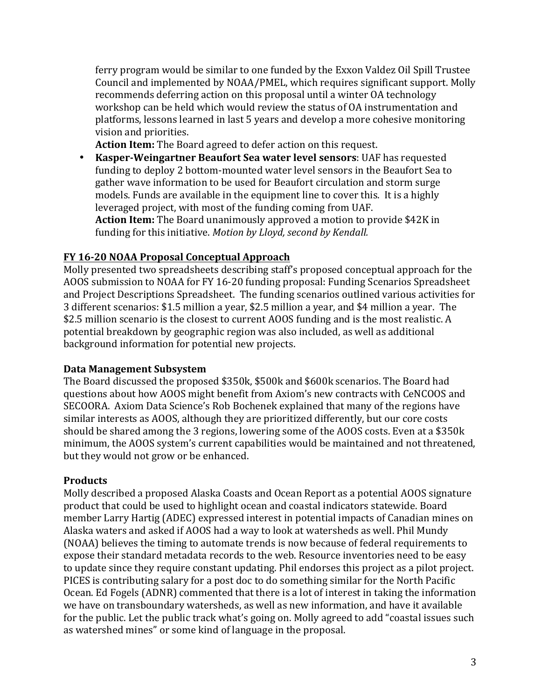ferry program would be similar to one funded by the Exxon Valdez Oil Spill Trustee Council and implemented by NOAA/PMEL, which requires significant support. Molly recommends deferring action on this proposal until a winter OA technology workshop can be held which would review the status of OA instrumentation and platforms, lessons learned in last 5 years and develop a more cohesive monitoring vision and priorities.

Action Item: The Board agreed to defer action on this request.

• Kasper-Weingartner Beaufort Sea water level sensors: UAF has requested funding to deploy 2 bottom-mounted water level sensors in the Beaufort Sea to gather wave information to be used for Beaufort circulation and storm surge models. Funds are available in the equipment line to cover this. It is a highly leveraged project, with most of the funding coming from UAF. **Action Item:** The Board unanimously approved a motion to provide \$42K in funding for this initiative. Motion by Lloyd, second by Kendall.

### **FY 16-20 NOAA Proposal Conceptual Approach**

Molly presented two spreadsheets describing staff's proposed conceptual approach for the AOOS submission to NOAA for FY 16-20 funding proposal: Funding Scenarios Spreadsheet and Project Descriptions Spreadsheet. The funding scenarios outlined various activities for 3 different scenarios: \$1.5 million a year, \$2.5 million a year, and \$4 million a year. The \$2.5 million scenario is the closest to current AOOS funding and is the most realistic. A potential breakdown by geographic region was also included, as well as additional background information for potential new projects.

#### **Data Management Subsystem**

The Board discussed the proposed \$350k, \$500k and \$600k scenarios. The Board had questions about how AOOS might benefit from Axiom's new contracts with CeNCOOS and SECOORA. Axiom Data Science's Rob Bochenek explained that many of the regions have similar interests as AOOS, although they are prioritized differently, but our core costs should be shared among the 3 regions, lowering some of the AOOS costs. Even at a \$350k minimum, the AOOS system's current capabilities would be maintained and not threatened, but they would not grow or be enhanced.

### **Products**

Molly described a proposed Alaska Coasts and Ocean Report as a potential AOOS signature product that could be used to highlight ocean and coastal indicators statewide. Board member Larry Hartig (ADEC) expressed interest in potential impacts of Canadian mines on Alaska waters and asked if AOOS had a way to look at watersheds as well. Phil Mundy (NOAA) believes the timing to automate trends is now because of federal requirements to expose their standard metadata records to the web. Resource inventories need to be easy to update since they require constant updating. Phil endorses this project as a pilot project. PICES is contributing salary for a post doc to do something similar for the North Pacific Ocean. Ed Fogels (ADNR) commented that there is a lot of interest in taking the information we have on transboundary watersheds, as well as new information, and have it available for the public. Let the public track what's going on. Molly agreed to add "coastal issues such as watershed mines" or some kind of language in the proposal.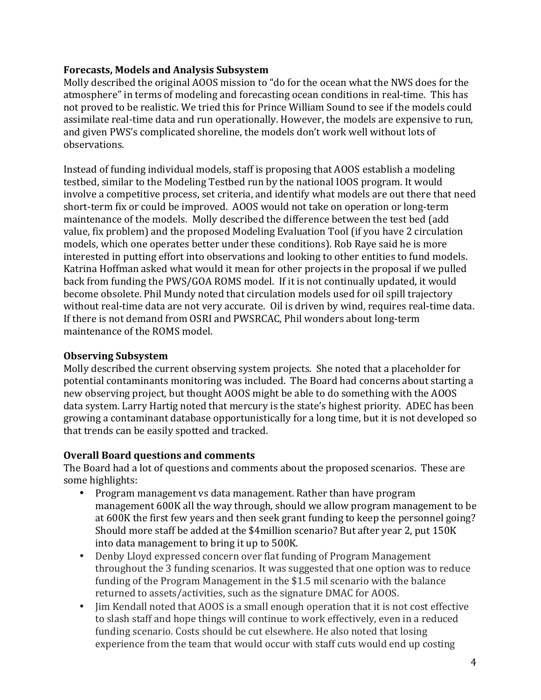#### **Forecasts, Models and Analysis Subsystem**

Molly described the original AOOS mission to "do for the ocean what the NWS does for the atmosphere" in terms of modeling and forecasting ocean conditions in real-time. This has not proved to be realistic. We tried this for Prince William Sound to see if the models could assimilate real-time data and run operationally. However, the models are expensive to run, and given PWS's complicated shoreline, the models don't work well without lots of observations. 

Instead of funding individual models, staff is proposing that AOOS establish a modeling testbed, similar to the Modeling Testbed run by the national IOOS program. It would involve a competitive process, set criteria, and identify what models are out there that need short-term fix or could be improved. AOOS would not take on operation or long-term maintenance of the models. Molly described the difference between the test bed (add value, fix problem) and the proposed Modeling Evaluation Tool (if you have 2 circulation models, which one operates better under these conditions). Rob Raye said he is more interested in putting effort into observations and looking to other entities to fund models. Katrina Hoffman asked what would it mean for other projects in the proposal if we pulled back from funding the PWS/GOA ROMS model. If it is not continually updated, it would become obsolete. Phil Mundy noted that circulation models used for oil spill trajectory without real-time data are not very accurate. Oil is driven by wind, requires real-time data. If there is not demand from OSRI and PWSRCAC, Phil wonders about long-term maintenance of the ROMS model.

#### **Observing Subsystem**

Molly described the current observing system projects. She noted that a placeholder for potential contaminants monitoring was included. The Board had concerns about starting a new observing project, but thought AOOS might be able to do something with the AOOS data system. Larry Hartig noted that mercury is the state's highest priority. ADEC has been growing a contaminant database opportunistically for a long time, but it is not developed so that trends can be easily spotted and tracked.

### **Overall Board questions and comments**

The Board had a lot of questions and comments about the proposed scenarios. These are some highlights:

- Program management vs data management. Rather than have program management 600K all the way through, should we allow program management to be at 600K the first few years and then seek grant funding to keep the personnel going? Should more staff be added at the \$4million scenario? But after year 2, put 150K into data management to bring it up to 500K.
- Denby Lloyd expressed concern over flat funding of Program Management throughout the 3 funding scenarios. It was suggested that one option was to reduce funding of the Program Management in the \$1.5 mil scenario with the balance returned to assets/activities, such as the signature DMAC for AOOS.
- Jim Kendall noted that AOOS is a small enough operation that it is not cost effective to slash staff and hope things will continue to work effectively, even in a reduced funding scenario. Costs should be cut elsewhere. He also noted that losing experience from the team that would occur with staff cuts would end up costing